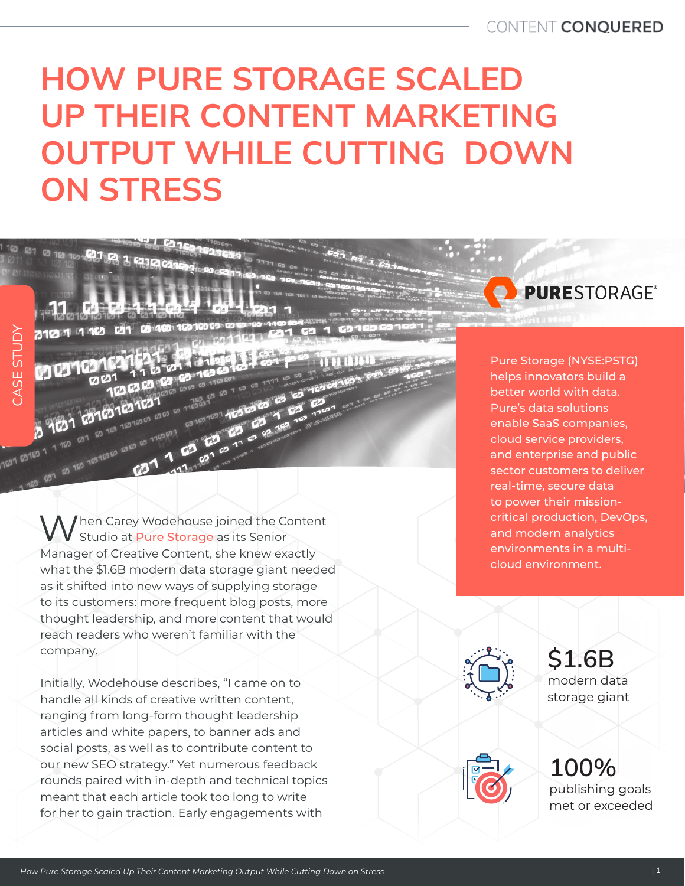## HOW PURE STORAGE SCALED UP THEIR CONTENT MARKETING OUTPUT WHILE CUTTING DOWN ON STRESS

When Carey Wodehouse joined the Content Studio at Pure Storage as its Senior Manager of Creative Content, she knew exactly what the \$1.6B modern data storage giant needed as it shifted into new ways of supplying storage to its customers: more frequent blog posts, more thought leadership, and more content that would reach readers who weren't familiar with the company.

**63163163163** 

CASE STUDY

1031 12103 1 1 103

CASE STUDY

Initially, Wodehouse describes, "I came on to handle all kinds of creative written content, ranging from long-form thought leadership articles and white papers, to banner ads and social posts, as well as to contribute content to our new SEO strategy." Yet numerous feedback rounds paired with in-depth and technical topics meant that each article took too long to write for her to gain traction. Early engagements with

Pure Storage (NYSE:PSTG) helps innovators build a better world with data. Pure's data solutions enable SaaS companies, cloud service providers, and enterprise and public sector customers to deliver real-time, secure data to power their missioncritical production, DevOps, and modern analytics environments in a multicloud environment.

**PURESTORAGE®** 

\$1.6B modern data storage giant



100% publishing goals met or exceeded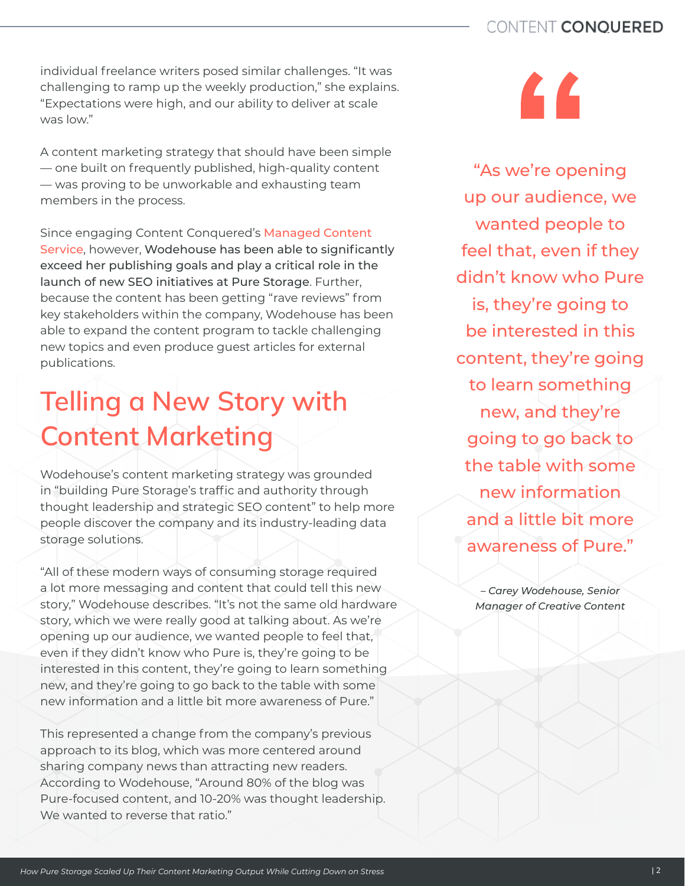individual freelance writers posed similar challenges. "It was challenging to ramp up the weekly production," she explains. "Expectations were high, and our ability to deliver at scale was low."

A content marketing strategy that should have been simple — one built on frequently published, high-quality content — was proving to be unworkable and exhausting team members in the process.

Since engaging Content Conquered's [Managed Content](https://www.contentconquered.com/our-approach/)  [Service](https://www.contentconquered.com/our-approach/), however, Wodehouse has been able to significantly exceed her publishing goals and play a critical role in the launch of new SEO initiatives at Pure Storage. Further, because the content has been getting "rave reviews" from key stakeholders within the company, Wodehouse has been able to expand the content program to tackle challenging new topics and even produce guest articles for external publications.

## Telling a New Story with Content Marketing

Wodehouse's content marketing strategy was grounded in "building Pure Storage's traffic and authority through thought leadership and strategic SEO content" to help more people discover the company and its industry-leading data storage solutions.

"All of these modern ways of consuming storage required a lot more messaging and content that could tell this new story," Wodehouse describes. "It's not the same old hardware story, which we were really good at talking about. As we're opening up our audience, we wanted people to feel that, even if they didn't know who Pure is, they're going to be interested in this content, they're going to learn something new, and they're going to go back to the table with some new information and a little bit more awareness of Pure."

This represented a change from the company's previous approach to its blog, which was more centered around sharing company news than attracting new readers. According to Wodehouse, "Around 80% of the blog was Pure-focused content, and 10-20% was thought leadership. We wanted to reverse that ratio."



"As we're opening up our audience, we wanted people to feel that, even if they didn't know who Pure is, they're going to be interested in this content, they're going to learn something new, and they're going to go back to the table with some new information and a little bit more awareness of Pure."

– *Carey Wodehouse, Senior Manager of Creative Content*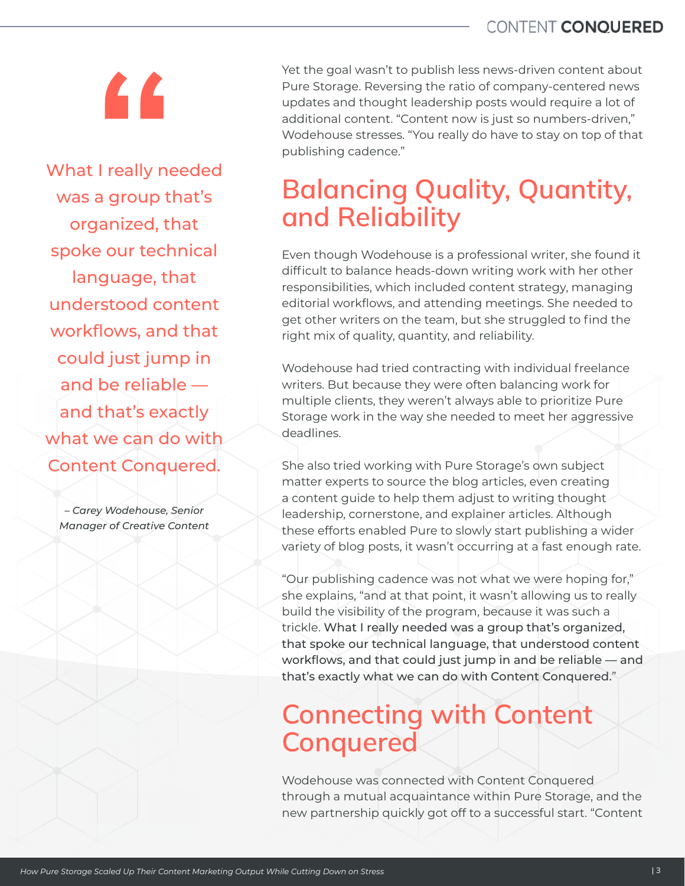# $\overline{a}$

What I really needed was a group that's organized, that spoke our technical language, that understood content workflows, and that could just jump in and be reliable and that's exactly what we can do with Content Conquered.

– *Carey Wodehouse, Senior Manager of Creative Content* Yet the goal wasn't to publish less news-driven content about Pure Storage. Reversing the ratio of company-centered news updates and thought leadership posts would require a lot of additional content. "Content now is just so numbers-driven," Wodehouse stresses. "You really do have to stay on top of that publishing cadence."

### Balancing Quality, Quantity, and Reliability

Even though Wodehouse is a professional writer, she found it difficult to balance heads-down writing work with her other responsibilities, which included content strategy, managing editorial workflows, and attending meetings. She needed to get other writers on the team, but she struggled to find the right mix of quality, quantity, and reliability.

Wodehouse had tried contracting with individual freelance writers. But because they were often balancing work for multiple clients, they weren't always able to prioritize Pure Storage work in the way she needed to meet her aggressive deadlines.

She also tried working with Pure Storage's own subject matter experts to source the blog articles, even creating a content guide to help them adjust to writing thought leadership, cornerstone, and explainer articles. Although these efforts enabled Pure to slowly start publishing a wider variety of blog posts, it wasn't occurring at a fast enough rate.

"Our publishing cadence was not what we were hoping for," she explains, "and at that point, it wasn't allowing us to really build the visibility of the program, because it was such a trickle. What I really needed was a group that's organized, that spoke our technical language, that understood content workflows, and that could just jump in and be reliable — and that's exactly what we can do with Content Conquered."

### Connecting with Content **Conquered**

Wodehouse was connected with Content Conquered through a mutual acquaintance within Pure Storage, and the new partnership quickly got off to a successful start. "Content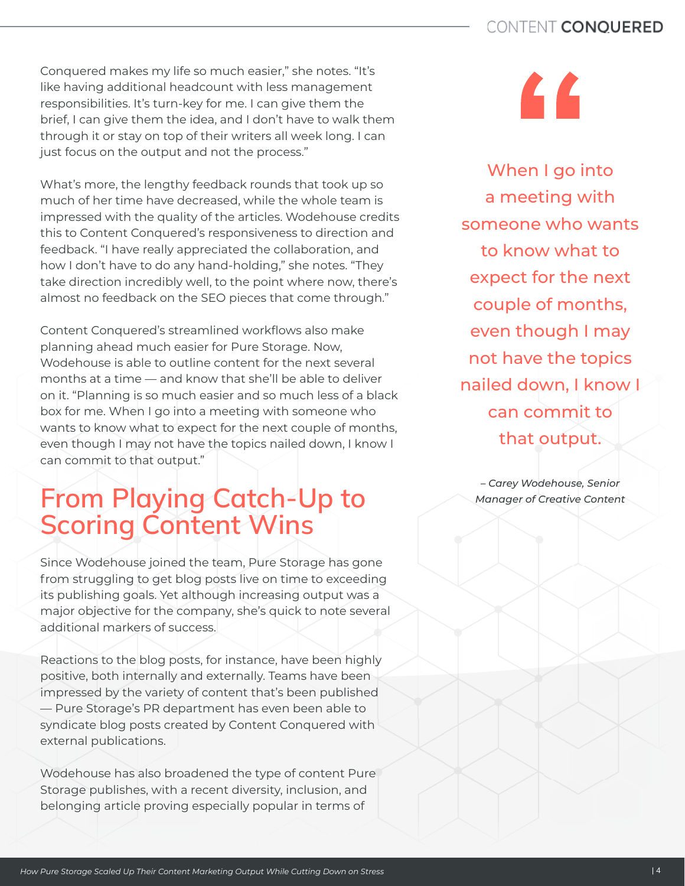Conquered makes my life so much easier," she notes. "It's like having additional headcount with less management responsibilities. It's turn-key for me. I can give them the brief, I can give them the idea, and I don't have to walk them through it or stay on top of their writers all week long. I can just focus on the output and not the process."

What's more, the lengthy feedback rounds that took up so much of her time have decreased, while the whole team is impressed with the quality of the articles. Wodehouse credits this to Content Conquered's responsiveness to direction and feedback. "I have really appreciated the collaboration, and how I don't have to do any hand-holding," she notes. "They take direction incredibly well, to the point where now, there's almost no feedback on the SEO pieces that come through."

Content Conquered's streamlined workflows also make planning ahead much easier for Pure Storage. Now, Wodehouse is able to outline content for the next several months at a time — and know that she'll be able to deliver on it. "Planning is so much easier and so much less of a black box for me. When I go into a meeting with someone who wants to know what to expect for the next couple of months, even though I may not have the topics nailed down, I know I can commit to that output."

### From Playing Catch-Up to Scoring Content Wins

Since Wodehouse joined the team, Pure Storage has gone from struggling to get blog posts live on time to exceeding its publishing goals. Yet although increasing output was a major objective for the company, she's quick to note several additional markers of success.

Reactions to the blog posts, for instance, have been highly positive, both internally and externally. Teams have been impressed by the variety of content that's been published — Pure Storage's PR department has even been able to syndicate blog posts created by Content Conquered with external publications.

Wodehouse has also broadened the type of content Pure Storage publishes, with a recent diversity, inclusion, and belonging article proving especially popular in terms of



When I go into a meeting with someone who wants to know what to expect for the next couple of months, even though I may not have the topics nailed down, I know I can commit to that output.

– *Carey Wodehouse, Senior Manager of Creative Content*